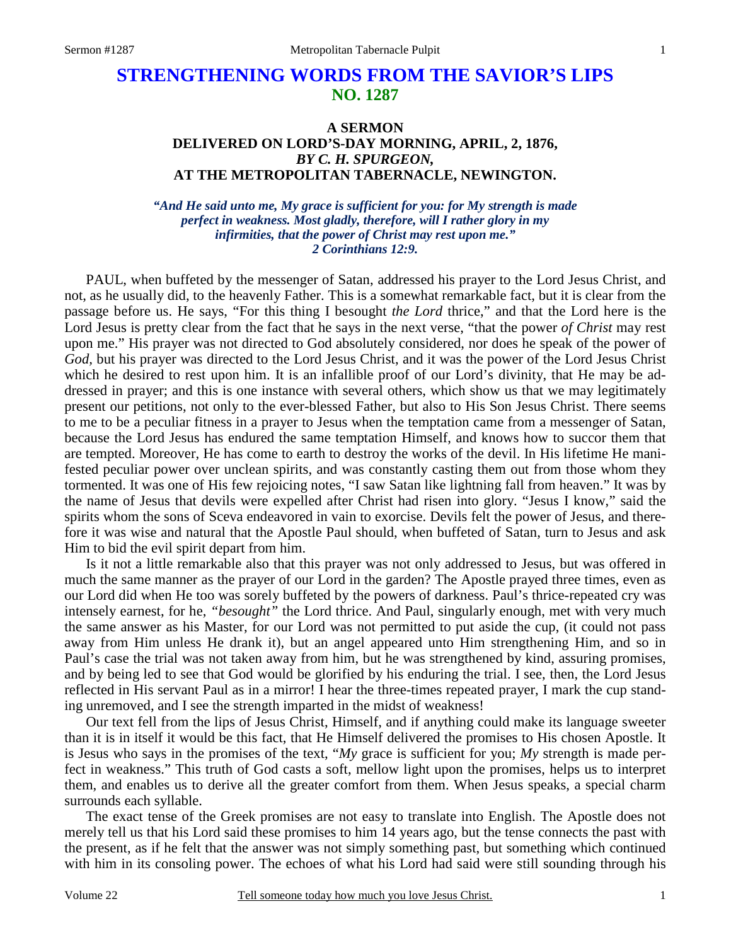# **STRENGTHENING WORDS FROM THE SAVIOR'S LIPS NO. 1287**

### **A SERMON DELIVERED ON LORD'S-DAY MORNING, APRIL, 2, 1876,**  *BY C. H. SPURGEON,*  **AT THE METROPOLITAN TABERNACLE, NEWINGTON.**

*"And He said unto me, My grace is sufficient for you: for My strength is made perfect in weakness. Most gladly, therefore, will I rather glory in my infirmities, that the power of Christ may rest upon me." 2 Corinthians 12:9.* 

PAUL, when buffeted by the messenger of Satan, addressed his prayer to the Lord Jesus Christ, and not, as he usually did, to the heavenly Father. This is a somewhat remarkable fact, but it is clear from the passage before us. He says, "For this thing I besought *the Lord* thrice," and that the Lord here is the Lord Jesus is pretty clear from the fact that he says in the next verse, "that the power *of Christ* may rest upon me." His prayer was not directed to God absolutely considered, nor does he speak of the power of *God,* but his prayer was directed to the Lord Jesus Christ, and it was the power of the Lord Jesus Christ which he desired to rest upon him. It is an infallible proof of our Lord's divinity, that He may be addressed in prayer; and this is one instance with several others, which show us that we may legitimately present our petitions, not only to the ever-blessed Father, but also to His Son Jesus Christ. There seems to me to be a peculiar fitness in a prayer to Jesus when the temptation came from a messenger of Satan, because the Lord Jesus has endured the same temptation Himself, and knows how to succor them that are tempted. Moreover, He has come to earth to destroy the works of the devil. In His lifetime He manifested peculiar power over unclean spirits, and was constantly casting them out from those whom they tormented. It was one of His few rejoicing notes, "I saw Satan like lightning fall from heaven." It was by the name of Jesus that devils were expelled after Christ had risen into glory. "Jesus I know," said the spirits whom the sons of Sceva endeavored in vain to exorcise. Devils felt the power of Jesus, and therefore it was wise and natural that the Apostle Paul should, when buffeted of Satan, turn to Jesus and ask Him to bid the evil spirit depart from him.

 Is it not a little remarkable also that this prayer was not only addressed to Jesus, but was offered in much the same manner as the prayer of our Lord in the garden? The Apostle prayed three times, even as our Lord did when He too was sorely buffeted by the powers of darkness. Paul's thrice-repeated cry was intensely earnest, for he, *"besought"* the Lord thrice. And Paul, singularly enough, met with very much the same answer as his Master, for our Lord was not permitted to put aside the cup, (it could not pass away from Him unless He drank it), but an angel appeared unto Him strengthening Him, and so in Paul's case the trial was not taken away from him, but he was strengthened by kind, assuring promises, and by being led to see that God would be glorified by his enduring the trial. I see, then, the Lord Jesus reflected in His servant Paul as in a mirror! I hear the three-times repeated prayer, I mark the cup standing unremoved, and I see the strength imparted in the midst of weakness!

 Our text fell from the lips of Jesus Christ, Himself, and if anything could make its language sweeter than it is in itself it would be this fact, that He Himself delivered the promises to His chosen Apostle. It is Jesus who says in the promises of the text, "*My* grace is sufficient for you; *My* strength is made perfect in weakness." This truth of God casts a soft, mellow light upon the promises, helps us to interpret them, and enables us to derive all the greater comfort from them. When Jesus speaks, a special charm surrounds each syllable.

 The exact tense of the Greek promises are not easy to translate into English. The Apostle does not merely tell us that his Lord said these promises to him 14 years ago, but the tense connects the past with the present, as if he felt that the answer was not simply something past, but something which continued with him in its consoling power. The echoes of what his Lord had said were still sounding through his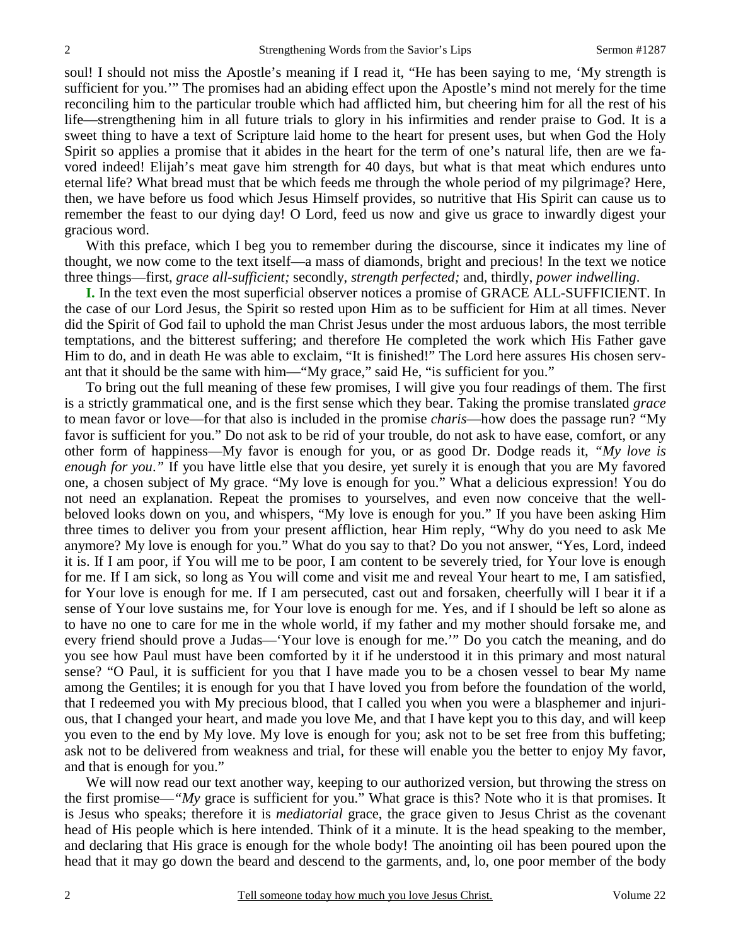soul! I should not miss the Apostle's meaning if I read it, "He has been saying to me, 'My strength is sufficient for you.'" The promises had an abiding effect upon the Apostle's mind not merely for the time reconciling him to the particular trouble which had afflicted him, but cheering him for all the rest of his life—strengthening him in all future trials to glory in his infirmities and render praise to God. It is a sweet thing to have a text of Scripture laid home to the heart for present uses, but when God the Holy Spirit so applies a promise that it abides in the heart for the term of one's natural life, then are we favored indeed! Elijah's meat gave him strength for 40 days, but what is that meat which endures unto eternal life? What bread must that be which feeds me through the whole period of my pilgrimage? Here, then, we have before us food which Jesus Himself provides, so nutritive that His Spirit can cause us to remember the feast to our dying day! O Lord, feed us now and give us grace to inwardly digest your gracious word.

With this preface, which I beg you to remember during the discourse, since it indicates my line of thought, we now come to the text itself—a mass of diamonds, bright and precious! In the text we notice three things—first, *grace all-sufficient;* secondly, *strength perfected;* and, thirdly, *power indwelling*.

**I.** In the text even the most superficial observer notices a promise of GRACE ALL-SUFFICIENT. In the case of our Lord Jesus, the Spirit so rested upon Him as to be sufficient for Him at all times. Never did the Spirit of God fail to uphold the man Christ Jesus under the most arduous labors, the most terrible temptations, and the bitterest suffering; and therefore He completed the work which His Father gave Him to do, and in death He was able to exclaim, "It is finished!" The Lord here assures His chosen servant that it should be the same with him—"My grace," said He, "is sufficient for you."

 To bring out the full meaning of these few promises, I will give you four readings of them. The first is a strictly grammatical one, and is the first sense which they bear. Taking the promise translated *grace* to mean favor or love—for that also is included in the promise *charis*—how does the passage run? "My favor is sufficient for you." Do not ask to be rid of your trouble, do not ask to have ease, comfort, or any other form of happiness—My favor is enough for you, or as good Dr. Dodge reads it, *"My love is enough for you*.*"* If you have little else that you desire, yet surely it is enough that you are My favored one, a chosen subject of My grace. "My love is enough for you." What a delicious expression! You do not need an explanation. Repeat the promises to yourselves, and even now conceive that the wellbeloved looks down on you, and whispers, "My love is enough for you." If you have been asking Him three times to deliver you from your present affliction, hear Him reply, "Why do you need to ask Me anymore? My love is enough for you." What do you say to that? Do you not answer, "Yes, Lord, indeed it is. If I am poor, if You will me to be poor, I am content to be severely tried, for Your love is enough for me. If I am sick, so long as You will come and visit me and reveal Your heart to me, I am satisfied, for Your love is enough for me. If I am persecuted, cast out and forsaken, cheerfully will I bear it if a sense of Your love sustains me, for Your love is enough for me. Yes, and if I should be left so alone as to have no one to care for me in the whole world, if my father and my mother should forsake me, and every friend should prove a Judas—'Your love is enough for me.'" Do you catch the meaning, and do you see how Paul must have been comforted by it if he understood it in this primary and most natural sense? "O Paul, it is sufficient for you that I have made you to be a chosen vessel to bear My name among the Gentiles; it is enough for you that I have loved you from before the foundation of the world, that I redeemed you with My precious blood, that I called you when you were a blasphemer and injurious, that I changed your heart, and made you love Me, and that I have kept you to this day, and will keep you even to the end by My love. My love is enough for you; ask not to be set free from this buffeting; ask not to be delivered from weakness and trial, for these will enable you the better to enjoy My favor, and that is enough for you."

We will now read our text another way, keeping to our authorized version, but throwing the stress on the first promise—*"My* grace is sufficient for you." What grace is this? Note who it is that promises. It is Jesus who speaks; therefore it is *mediatorial* grace, the grace given to Jesus Christ as the covenant head of His people which is here intended. Think of it a minute. It is the head speaking to the member, and declaring that His grace is enough for the whole body! The anointing oil has been poured upon the head that it may go down the beard and descend to the garments, and, lo, one poor member of the body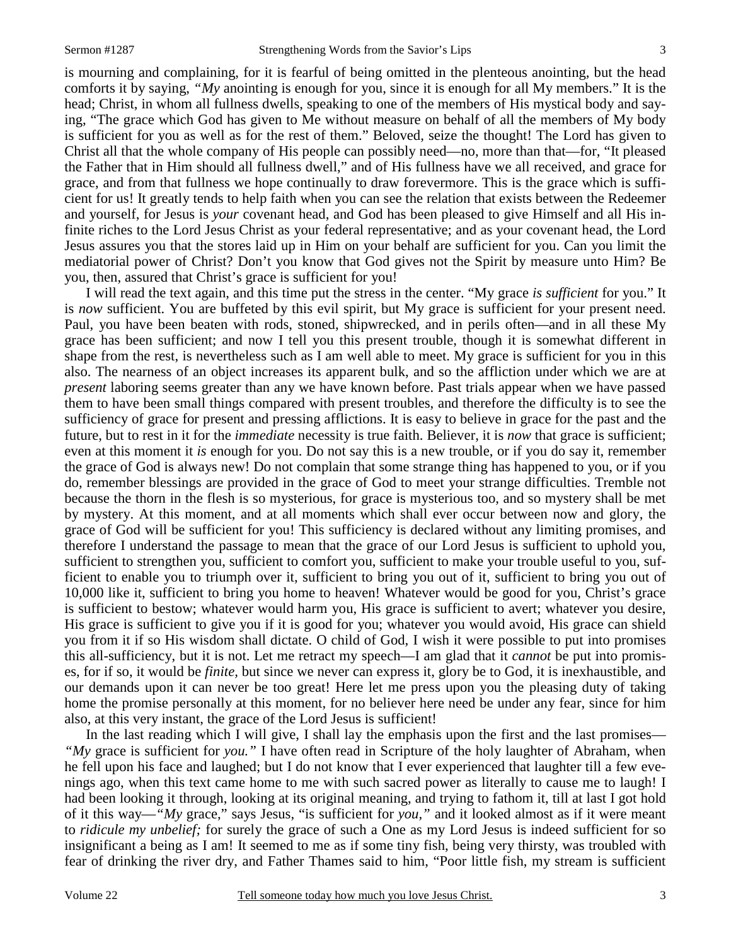is mourning and complaining, for it is fearful of being omitted in the plenteous anointing, but the head comforts it by saying, *"My* anointing is enough for you, since it is enough for all My members." It is the head; Christ, in whom all fullness dwells, speaking to one of the members of His mystical body and saying, "The grace which God has given to Me without measure on behalf of all the members of My body is sufficient for you as well as for the rest of them." Beloved, seize the thought! The Lord has given to Christ all that the whole company of His people can possibly need—no, more than that—for, "It pleased the Father that in Him should all fullness dwell," and of His fullness have we all received, and grace for grace, and from that fullness we hope continually to draw forevermore. This is the grace which is sufficient for us! It greatly tends to help faith when you can see the relation that exists between the Redeemer and yourself, for Jesus is *your* covenant head, and God has been pleased to give Himself and all His infinite riches to the Lord Jesus Christ as your federal representative; and as your covenant head, the Lord Jesus assures you that the stores laid up in Him on your behalf are sufficient for you. Can you limit the mediatorial power of Christ? Don't you know that God gives not the Spirit by measure unto Him? Be you, then, assured that Christ's grace is sufficient for you!

 I will read the text again, and this time put the stress in the center. "My grace *is sufficient* for you." It is *now* sufficient. You are buffeted by this evil spirit, but My grace is sufficient for your present need. Paul, you have been beaten with rods, stoned, shipwrecked, and in perils often—and in all these My grace has been sufficient; and now I tell you this present trouble, though it is somewhat different in shape from the rest, is nevertheless such as I am well able to meet. My grace is sufficient for you in this also. The nearness of an object increases its apparent bulk, and so the affliction under which we are at *present* laboring seems greater than any we have known before. Past trials appear when we have passed them to have been small things compared with present troubles, and therefore the difficulty is to see the sufficiency of grace for present and pressing afflictions. It is easy to believe in grace for the past and the future, but to rest in it for the *immediate* necessity is true faith. Believer, it is *now* that grace is sufficient; even at this moment it *is* enough for you. Do not say this is a new trouble, or if you do say it, remember the grace of God is always new! Do not complain that some strange thing has happened to you, or if you do, remember blessings are provided in the grace of God to meet your strange difficulties. Tremble not because the thorn in the flesh is so mysterious, for grace is mysterious too, and so mystery shall be met by mystery. At this moment, and at all moments which shall ever occur between now and glory, the grace of God will be sufficient for you! This sufficiency is declared without any limiting promises, and therefore I understand the passage to mean that the grace of our Lord Jesus is sufficient to uphold you, sufficient to strengthen you, sufficient to comfort you, sufficient to make your trouble useful to you, sufficient to enable you to triumph over it, sufficient to bring you out of it, sufficient to bring you out of 10,000 like it, sufficient to bring you home to heaven! Whatever would be good for you, Christ's grace is sufficient to bestow; whatever would harm you, His grace is sufficient to avert; whatever you desire, His grace is sufficient to give you if it is good for you; whatever you would avoid, His grace can shield you from it if so His wisdom shall dictate. O child of God, I wish it were possible to put into promises this all-sufficiency, but it is not. Let me retract my speech—I am glad that it *cannot* be put into promises, for if so, it would be *finite,* but since we never can express it, glory be to God, it is inexhaustible, and our demands upon it can never be too great! Here let me press upon you the pleasing duty of taking home the promise personally at this moment, for no believer here need be under any fear, since for him also, at this very instant, the grace of the Lord Jesus is sufficient!

In the last reading which I will give, I shall lay the emphasis upon the first and the last promises— *"My* grace is sufficient for *you."* I have often read in Scripture of the holy laughter of Abraham, when he fell upon his face and laughed; but I do not know that I ever experienced that laughter till a few evenings ago, when this text came home to me with such sacred power as literally to cause me to laugh! I had been looking it through, looking at its original meaning, and trying to fathom it, till at last I got hold of it this way—*"My* grace," says Jesus, "is sufficient for *you,"* and it looked almost as if it were meant to *ridicule my unbelief;* for surely the grace of such a One as my Lord Jesus is indeed sufficient for so insignificant a being as I am! It seemed to me as if some tiny fish, being very thirsty, was troubled with fear of drinking the river dry, and Father Thames said to him, "Poor little fish, my stream is sufficient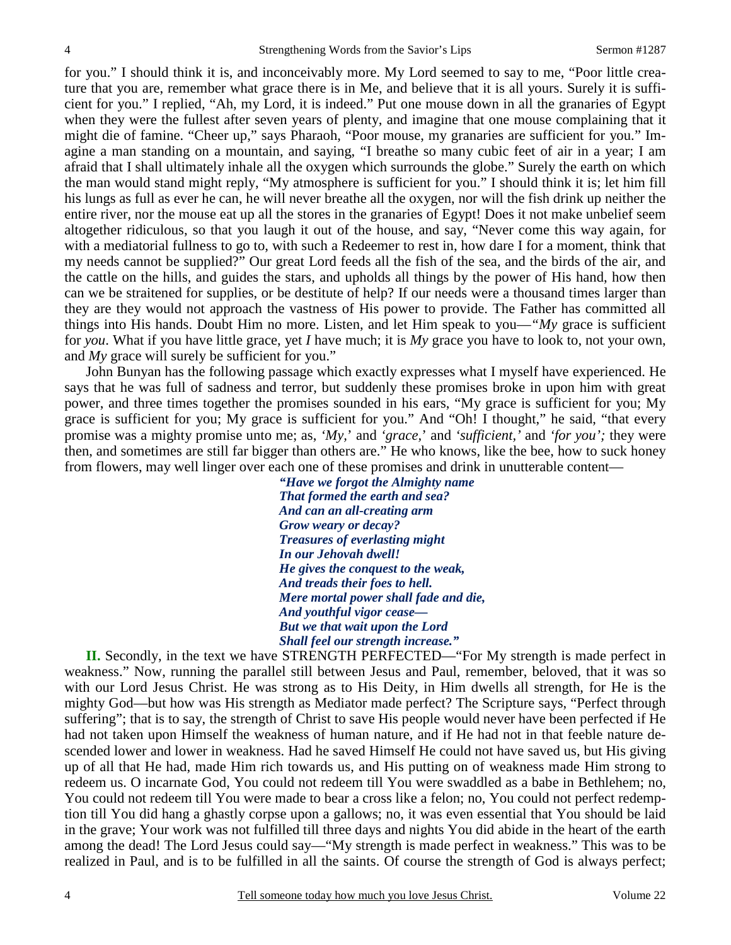for you." I should think it is, and inconceivably more. My Lord seemed to say to me, "Poor little creature that you are, remember what grace there is in Me, and believe that it is all yours. Surely it is sufficient for you." I replied, "Ah, my Lord, it is indeed." Put one mouse down in all the granaries of Egypt when they were the fullest after seven years of plenty, and imagine that one mouse complaining that it might die of famine. "Cheer up," says Pharaoh, "Poor mouse, my granaries are sufficient for you." Imagine a man standing on a mountain, and saying, "I breathe so many cubic feet of air in a year; I am afraid that I shall ultimately inhale all the oxygen which surrounds the globe." Surely the earth on which the man would stand might reply, "My atmosphere is sufficient for you." I should think it is; let him fill his lungs as full as ever he can, he will never breathe all the oxygen, nor will the fish drink up neither the entire river, nor the mouse eat up all the stores in the granaries of Egypt! Does it not make unbelief seem altogether ridiculous, so that you laugh it out of the house, and say, "Never come this way again, for with a mediatorial fullness to go to, with such a Redeemer to rest in, how dare I for a moment, think that my needs cannot be supplied?" Our great Lord feeds all the fish of the sea, and the birds of the air, and the cattle on the hills, and guides the stars, and upholds all things by the power of His hand, how then can we be straitened for supplies, or be destitute of help? If our needs were a thousand times larger than they are they would not approach the vastness of His power to provide. The Father has committed all things into His hands. Doubt Him no more. Listen, and let Him speak to you—*"My* grace is sufficient for *you*. What if you have little grace, yet *I* have much; it is *My* grace you have to look to, not your own, and *My* grace will surely be sufficient for you."

 John Bunyan has the following passage which exactly expresses what I myself have experienced. He says that he was full of sadness and terror, but suddenly these promises broke in upon him with great power, and three times together the promises sounded in his ears, "My grace is sufficient for you; My grace is sufficient for you; My grace is sufficient for you." And "Oh! I thought," he said, "that every promise was a mighty promise unto me; as, *'My,*' and *'grace,*' and *'sufficient,'* and *'for you';* they were then, and sometimes are still far bigger than others are." He who knows, like the bee, how to suck honey from flowers, may well linger over each one of these promises and drink in unutterable content—

> *"Have we forgot the Almighty name That formed the earth and sea? And can an all-creating arm Grow weary or decay? Treasures of everlasting might In our Jehovah dwell! He gives the conquest to the weak, And treads their foes to hell. Mere mortal power shall fade and die, And youthful vigor cease— But we that wait upon the Lord Shall feel our strength increase."*

**II.** Secondly, in the text we have STRENGTH PERFECTED—"For My strength is made perfect in weakness." Now, running the parallel still between Jesus and Paul, remember, beloved, that it was so with our Lord Jesus Christ. He was strong as to His Deity, in Him dwells all strength, for He is the mighty God—but how was His strength as Mediator made perfect? The Scripture says, "Perfect through suffering"; that is to say, the strength of Christ to save His people would never have been perfected if He had not taken upon Himself the weakness of human nature, and if He had not in that feeble nature descended lower and lower in weakness. Had he saved Himself He could not have saved us, but His giving up of all that He had, made Him rich towards us, and His putting on of weakness made Him strong to redeem us. O incarnate God, You could not redeem till You were swaddled as a babe in Bethlehem; no, You could not redeem till You were made to bear a cross like a felon; no, You could not perfect redemption till You did hang a ghastly corpse upon a gallows; no, it was even essential that You should be laid in the grave; Your work was not fulfilled till three days and nights You did abide in the heart of the earth among the dead! The Lord Jesus could say—"My strength is made perfect in weakness." This was to be realized in Paul, and is to be fulfilled in all the saints. Of course the strength of God is always perfect;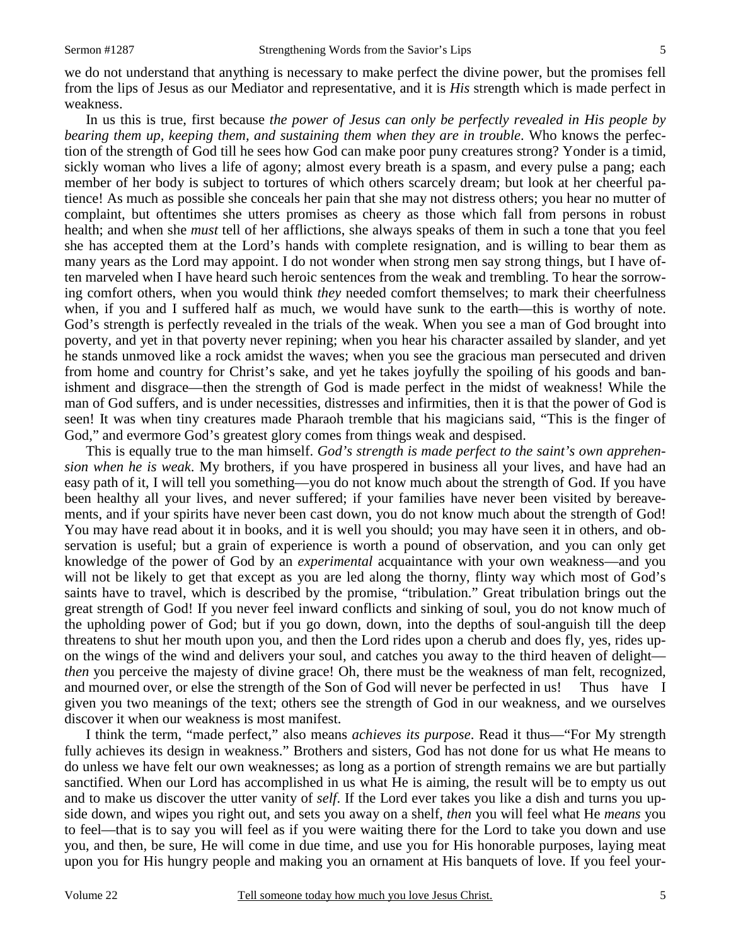we do not understand that anything is necessary to make perfect the divine power, but the promises fell from the lips of Jesus as our Mediator and representative, and it is *His* strength which is made perfect in weakness.

 In us this is true, first because *the power of Jesus can only be perfectly revealed in His people by bearing them up, keeping them, and sustaining them when they are in trouble.* Who knows the perfection of the strength of God till he sees how God can make poor puny creatures strong? Yonder is a timid, sickly woman who lives a life of agony; almost every breath is a spasm, and every pulse a pang; each member of her body is subject to tortures of which others scarcely dream; but look at her cheerful patience! As much as possible she conceals her pain that she may not distress others; you hear no mutter of complaint, but oftentimes she utters promises as cheery as those which fall from persons in robust health; and when she *must* tell of her afflictions, she always speaks of them in such a tone that you feel she has accepted them at the Lord's hands with complete resignation, and is willing to bear them as many years as the Lord may appoint. I do not wonder when strong men say strong things, but I have often marveled when I have heard such heroic sentences from the weak and trembling. To hear the sorrowing comfort others, when you would think *they* needed comfort themselves; to mark their cheerfulness when, if you and I suffered half as much, we would have sunk to the earth—this is worthy of note. God's strength is perfectly revealed in the trials of the weak. When you see a man of God brought into poverty, and yet in that poverty never repining; when you hear his character assailed by slander, and yet he stands unmoved like a rock amidst the waves; when you see the gracious man persecuted and driven from home and country for Christ's sake, and yet he takes joyfully the spoiling of his goods and banishment and disgrace—then the strength of God is made perfect in the midst of weakness! While the man of God suffers, and is under necessities, distresses and infirmities, then it is that the power of God is seen! It was when tiny creatures made Pharaoh tremble that his magicians said, "This is the finger of God," and evermore God's greatest glory comes from things weak and despised.

 This is equally true to the man himself. *God's strength is made perfect to the saint's own apprehension when he is weak*. My brothers, if you have prospered in business all your lives, and have had an easy path of it, I will tell you something—you do not know much about the strength of God. If you have been healthy all your lives, and never suffered; if your families have never been visited by bereavements, and if your spirits have never been cast down, you do not know much about the strength of God! You may have read about it in books, and it is well you should; you may have seen it in others, and observation is useful; but a grain of experience is worth a pound of observation, and you can only get knowledge of the power of God by an *experimental* acquaintance with your own weakness—and you will not be likely to get that except as you are led along the thorny, flinty way which most of God's saints have to travel, which is described by the promise, "tribulation." Great tribulation brings out the great strength of God! If you never feel inward conflicts and sinking of soul, you do not know much of the upholding power of God; but if you go down, down, into the depths of soul-anguish till the deep threatens to shut her mouth upon you, and then the Lord rides upon a cherub and does fly, yes, rides upon the wings of the wind and delivers your soul, and catches you away to the third heaven of delight *then* you perceive the majesty of divine grace! Oh, there must be the weakness of man felt, recognized, and mourned over, or else the strength of the Son of God will never be perfected in us! Thus have I given you two meanings of the text; others see the strength of God in our weakness, and we ourselves discover it when our weakness is most manifest.

 I think the term, "made perfect," also means *achieves its purpose*. Read it thus—"For My strength fully achieves its design in weakness." Brothers and sisters, God has not done for us what He means to do unless we have felt our own weaknesses; as long as a portion of strength remains we are but partially sanctified. When our Lord has accomplished in us what He is aiming, the result will be to empty us out and to make us discover the utter vanity of *self*. If the Lord ever takes you like a dish and turns you upside down, and wipes you right out, and sets you away on a shelf, *then* you will feel what He *means* you to feel—that is to say you will feel as if you were waiting there for the Lord to take you down and use you, and then, be sure, He will come in due time, and use you for His honorable purposes, laying meat upon you for His hungry people and making you an ornament at His banquets of love. If you feel your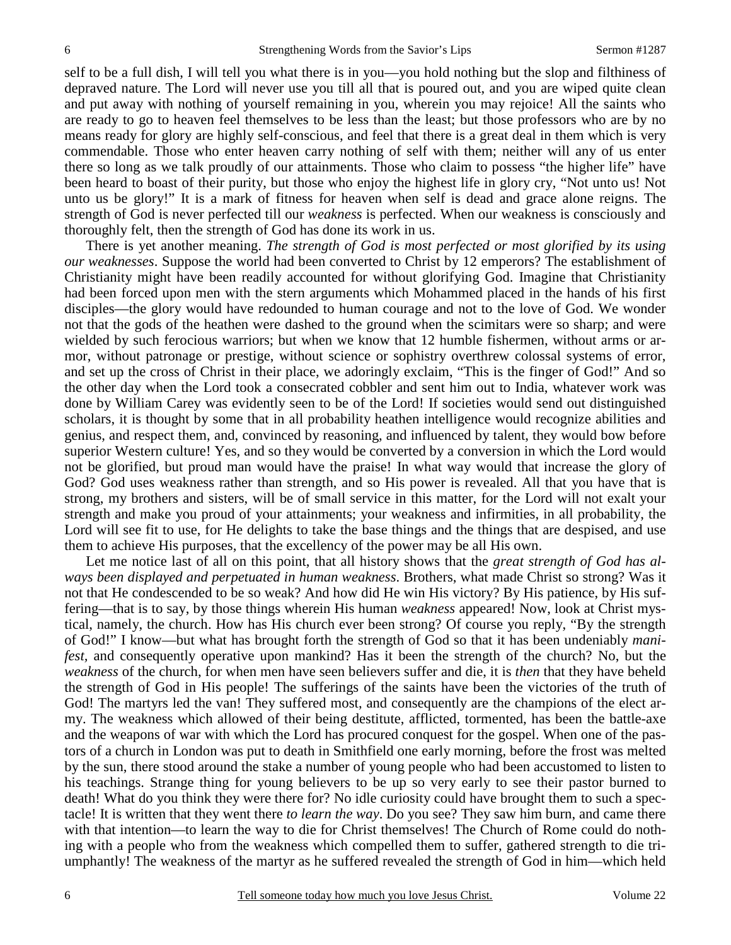self to be a full dish, I will tell you what there is in you—you hold nothing but the slop and filthiness of depraved nature. The Lord will never use you till all that is poured out, and you are wiped quite clean and put away with nothing of yourself remaining in you, wherein you may rejoice! All the saints who are ready to go to heaven feel themselves to be less than the least; but those professors who are by no means ready for glory are highly self-conscious, and feel that there is a great deal in them which is very commendable. Those who enter heaven carry nothing of self with them; neither will any of us enter there so long as we talk proudly of our attainments. Those who claim to possess "the higher life" have been heard to boast of their purity, but those who enjoy the highest life in glory cry, "Not unto us! Not unto us be glory!" It is a mark of fitness for heaven when self is dead and grace alone reigns. The strength of God is never perfected till our *weakness* is perfected. When our weakness is consciously and thoroughly felt, then the strength of God has done its work in us.

 There is yet another meaning. *The strength of God is most perfected or most glorified by its using our weaknesses*. Suppose the world had been converted to Christ by 12 emperors? The establishment of Christianity might have been readily accounted for without glorifying God. Imagine that Christianity had been forced upon men with the stern arguments which Mohammed placed in the hands of his first disciples—the glory would have redounded to human courage and not to the love of God. We wonder not that the gods of the heathen were dashed to the ground when the scimitars were so sharp; and were wielded by such ferocious warriors; but when we know that 12 humble fishermen, without arms or armor, without patronage or prestige, without science or sophistry overthrew colossal systems of error, and set up the cross of Christ in their place, we adoringly exclaim, "This is the finger of God!" And so the other day when the Lord took a consecrated cobbler and sent him out to India, whatever work was done by William Carey was evidently seen to be of the Lord! If societies would send out distinguished scholars, it is thought by some that in all probability heathen intelligence would recognize abilities and genius, and respect them, and, convinced by reasoning, and influenced by talent, they would bow before superior Western culture! Yes, and so they would be converted by a conversion in which the Lord would not be glorified, but proud man would have the praise! In what way would that increase the glory of God? God uses weakness rather than strength, and so His power is revealed. All that you have that is strong, my brothers and sisters, will be of small service in this matter, for the Lord will not exalt your strength and make you proud of your attainments; your weakness and infirmities, in all probability, the Lord will see fit to use, for He delights to take the base things and the things that are despised, and use them to achieve His purposes, that the excellency of the power may be all His own.

 Let me notice last of all on this point, that all history shows that the *great strength of God has always been displayed and perpetuated in human weakness*. Brothers, what made Christ so strong? Was it not that He condescended to be so weak? And how did He win His victory? By His patience, by His suffering—that is to say, by those things wherein His human *weakness* appeared! Now, look at Christ mystical, namely, the church. How has His church ever been strong? Of course you reply, "By the strength of God!" I know—but what has brought forth the strength of God so that it has been undeniably *manifest,* and consequently operative upon mankind? Has it been the strength of the church? No, but the *weakness* of the church, for when men have seen believers suffer and die, it is *then* that they have beheld the strength of God in His people! The sufferings of the saints have been the victories of the truth of God! The martyrs led the van! They suffered most, and consequently are the champions of the elect army. The weakness which allowed of their being destitute, afflicted, tormented, has been the battle-axe and the weapons of war with which the Lord has procured conquest for the gospel. When one of the pastors of a church in London was put to death in Smithfield one early morning, before the frost was melted by the sun, there stood around the stake a number of young people who had been accustomed to listen to his teachings. Strange thing for young believers to be up so very early to see their pastor burned to death! What do you think they were there for? No idle curiosity could have brought them to such a spectacle! It is written that they went there *to learn the way*. Do you see? They saw him burn, and came there with that intention—to learn the way to die for Christ themselves! The Church of Rome could do nothing with a people who from the weakness which compelled them to suffer, gathered strength to die triumphantly! The weakness of the martyr as he suffered revealed the strength of God in him—which held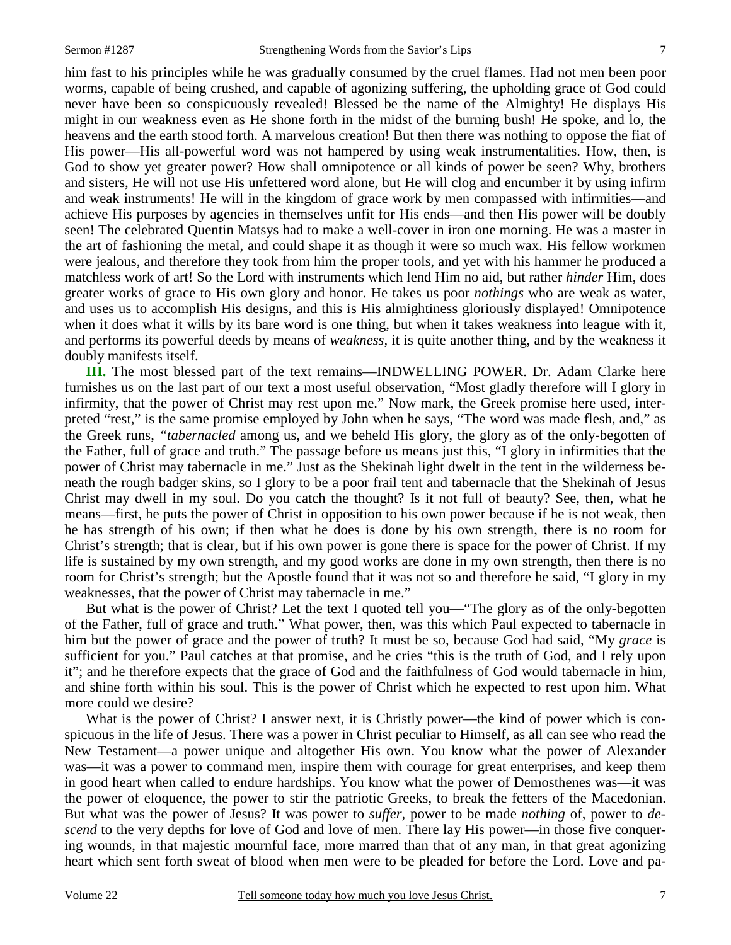him fast to his principles while he was gradually consumed by the cruel flames. Had not men been poor worms, capable of being crushed, and capable of agonizing suffering, the upholding grace of God could never have been so conspicuously revealed! Blessed be the name of the Almighty! He displays His might in our weakness even as He shone forth in the midst of the burning bush! He spoke, and lo, the heavens and the earth stood forth. A marvelous creation! But then there was nothing to oppose the fiat of His power—His all-powerful word was not hampered by using weak instrumentalities. How, then, is God to show yet greater power? How shall omnipotence or all kinds of power be seen? Why, brothers and sisters, He will not use His unfettered word alone, but He will clog and encumber it by using infirm and weak instruments! He will in the kingdom of grace work by men compassed with infirmities—and achieve His purposes by agencies in themselves unfit for His ends—and then His power will be doubly seen! The celebrated Quentin Matsys had to make a well-cover in iron one morning. He was a master in the art of fashioning the metal, and could shape it as though it were so much wax. His fellow workmen were jealous, and therefore they took from him the proper tools, and yet with his hammer he produced a matchless work of art! So the Lord with instruments which lend Him no aid, but rather *hinder* Him, does greater works of grace to His own glory and honor. He takes us poor *nothings* who are weak as water, and uses us to accomplish His designs, and this is His almightiness gloriously displayed! Omnipotence when it does what it wills by its bare word is one thing, but when it takes weakness into league with it, and performs its powerful deeds by means of *weakness,* it is quite another thing, and by the weakness it doubly manifests itself.

**III.** The most blessed part of the text remains—INDWELLING POWER. Dr. Adam Clarke here furnishes us on the last part of our text a most useful observation, "Most gladly therefore will I glory in infirmity, that the power of Christ may rest upon me." Now mark, the Greek promise here used, interpreted "rest," is the same promise employed by John when he says, "The word was made flesh, and," as the Greek runs, *"tabernacled* among us, and we beheld His glory, the glory as of the only-begotten of the Father, full of grace and truth." The passage before us means just this, "I glory in infirmities that the power of Christ may tabernacle in me." Just as the Shekinah light dwelt in the tent in the wilderness beneath the rough badger skins, so I glory to be a poor frail tent and tabernacle that the Shekinah of Jesus Christ may dwell in my soul. Do you catch the thought? Is it not full of beauty? See, then, what he means—first, he puts the power of Christ in opposition to his own power because if he is not weak, then he has strength of his own; if then what he does is done by his own strength, there is no room for Christ's strength; that is clear, but if his own power is gone there is space for the power of Christ. If my life is sustained by my own strength, and my good works are done in my own strength, then there is no room for Christ's strength; but the Apostle found that it was not so and therefore he said, "I glory in my weaknesses, that the power of Christ may tabernacle in me."

 But what is the power of Christ? Let the text I quoted tell you—"The glory as of the only-begotten of the Father, full of grace and truth." What power, then, was this which Paul expected to tabernacle in him but the power of grace and the power of truth? It must be so, because God had said, "My *grace* is sufficient for you." Paul catches at that promise, and he cries "this is the truth of God, and I rely upon it"; and he therefore expects that the grace of God and the faithfulness of God would tabernacle in him, and shine forth within his soul. This is the power of Christ which he expected to rest upon him. What more could we desire?

What is the power of Christ? I answer next, it is Christly power—the kind of power which is conspicuous in the life of Jesus. There was a power in Christ peculiar to Himself, as all can see who read the New Testament—a power unique and altogether His own. You know what the power of Alexander was—it was a power to command men, inspire them with courage for great enterprises, and keep them in good heart when called to endure hardships. You know what the power of Demosthenes was—it was the power of eloquence, the power to stir the patriotic Greeks, to break the fetters of the Macedonian. But what was the power of Jesus? It was power to *suffer,* power to be made *nothing* of, power to *descend* to the very depths for love of God and love of men. There lay His power—in those five conquering wounds, in that majestic mournful face, more marred than that of any man, in that great agonizing heart which sent forth sweat of blood when men were to be pleaded for before the Lord. Love and pa